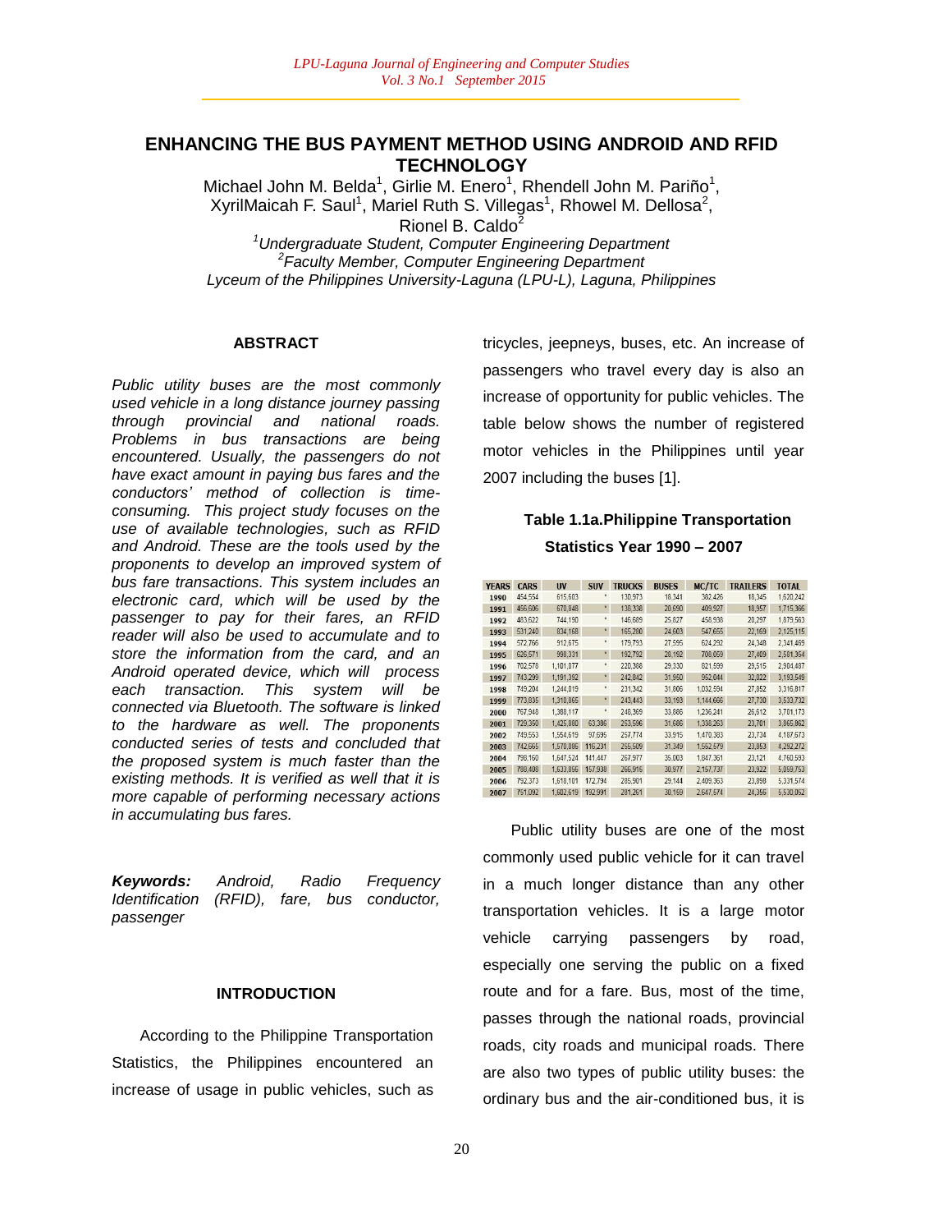## **ENHANCING THE BUS PAYMENT METHOD USING ANDROID AND RFID TECHNOLOGY**

Michael John M. Belda<sup>1</sup>, Girlie M. Enero<sup>1</sup>, Rhendell John M. Pariño<sup>1</sup>, XyrilMaicah F. Saul<sup>1</sup>, Mariel Ruth S. Villegas<sup>1</sup>, Rhowel M. Dellosa<sup>2</sup>, Rionel B. Caldo<sup>2</sup>

*<sup>1</sup>Undergraduate Student, Computer Engineering Department 2 Faculty Member, Computer Engineering Department Lyceum of the Philippines University-Laguna (LPU-L), Laguna, Philippines*

#### **ABSTRACT**

*Public utility buses are the most commonly used vehicle in a long distance journey passing through provincial and national roads. Problems in bus transactions are being encountered. Usually, the passengers do not have exact amount in paying bus fares and the conductors" method of collection is timeconsuming. This project study focuses on the use of available technologies, such as RFID and Android. These are the tools used by the proponents to develop an improved system of bus fare transactions. This system includes an electronic card, which will be used by the passenger to pay for their fares, an RFID reader will also be used to accumulate and to store the information from the card, and an Android operated device, which will process each transaction. This system will be connected via Bluetooth. The software is linked to the hardware as well. The proponents conducted series of tests and concluded that the proposed system is much faster than the existing methods. It is verified as well that it is more capable of performing necessary actions in accumulating bus fares.*

*Keywords: Android, Radio Frequency Identification (RFID), fare, bus conductor, passenger*

#### **INTRODUCTION**

According to the Philippine Transportation Statistics, the Philippines encountered an increase of usage in public vehicles, such as

tricycles, jeepneys, buses, etc. An increase of passengers who travel every day is also an increase of opportunity for public vehicles. The table below shows the number of registered motor vehicles in the Philippines until year 2007 including the buses [1].

## **Table 1.1a.Philippine Transportation Statistics Year 1990 – 2007**

| <b>YEARS</b> | <b>CARS</b> | <b>UV</b> | <b>SUV</b>   | <b>TRUCKS</b> | <b>BUSES</b> | MC/TC     | <b>TRAILERS</b> | <b>TOTAL</b> |
|--------------|-------------|-----------|--------------|---------------|--------------|-----------|-----------------|--------------|
| 1990         | 454.554     | 615,603   |              | 130,973       | 18,341       | 382.426   | 18,345          | 1.620.242    |
| 1991         | 456,606     | 670,848   | $\pmb{\ast}$ | 138,338       | 20,690       | 409.927   | 18,957          | 1.715,366    |
| 1992         | 483,622     | 744.190   | ×            | 146.689       | 25,827       | 458.938   | 20,297          | 1.879.563    |
| 1993         | 531.240     | 834,168   | $^\star$     | 165,280       | 24,603       | 547.655   | 22,169          | 2.125.115    |
| 1994         | 572,766     | 912,675   |              | 179,793       | 27,595       | 624.292   | 24,348          | 2,341,469    |
| 1995         | 626.571     | 998.331   | $\pmb{\ast}$ | 192.792       | 28.192       | 708.059   | 27,409          | 2.581.354    |
| 1996         | 702.578     | 1.101.077 | ×            | 220,388       | 29.330       | 821.599   | 29.515          | 2.904.487    |
| 1997         | 743,299     | 1,191,392 | $\star$      | 242,842       | 31,950       | 952.044   | 32,022          | 3.193.549    |
| 1998         | 749,204     | 1,244,019 | ×            | 231,342       | 31,806       | 1.032,594 | 27,852          | 3,316,817    |
| 1999         | 773.835     | 1.310.865 | $\star$      | 243.443       | 33.193       | 1.144.666 | 27,730          | 3.533.732    |
| 2000         | 767,948     | 1,388,117 | R            | 248,369       | 33,886       | 1.236.241 | 26,612          | 3.701.173    |
| 2001         | 729,350     | 1,425,880 | 63,386       | 253.596       | 31,686       | 1.338,263 | 23,701          | 3,865,862    |
| 2002         | 749.553     | 1.554.619 | 97.695       | 257,774       | 33.915       | 1.470.383 | 23.734          | 4.187.673    |
| 2003         | 742,665     | 1,570,086 | 116,231      | 255,509       | 31,349       | 1,552,579 | 23,853          | 4.292.272    |
| 2004         | 798,160     | 1,647,524 | 141.447      | 267.977       | 35,003       | 1.847.361 | 23,121          | 4.760.593    |
| 2005         | 788,408     | 1,633,856 | 157,938      | 266.915       | 30.977       | 2.157.737 | 23.922          | 5.059.753    |
| 2006         | 792.373     | 1,618,101 | 172,794      | 285,901       | 29.144       | 2.409.363 | 23,898          | 5.331.574    |
| 2007         | 751,092     | 1,602,619 | 192.991      | 281,261       | 30,159       | 2,647,574 | 24,356          | 5,530,052    |

Public utility buses are one of the most commonly used public vehicle for it can travel in a much longer distance than any other transportation vehicles. It is a large motor vehicle carrying passengers by road, especially one serving the public on a fixed route and for a fare. Bus, most of the time, passes through the national roads, provincial roads, city roads and municipal roads. There are also two types of public utility buses: the ordinary bus and the air-conditioned bus, it is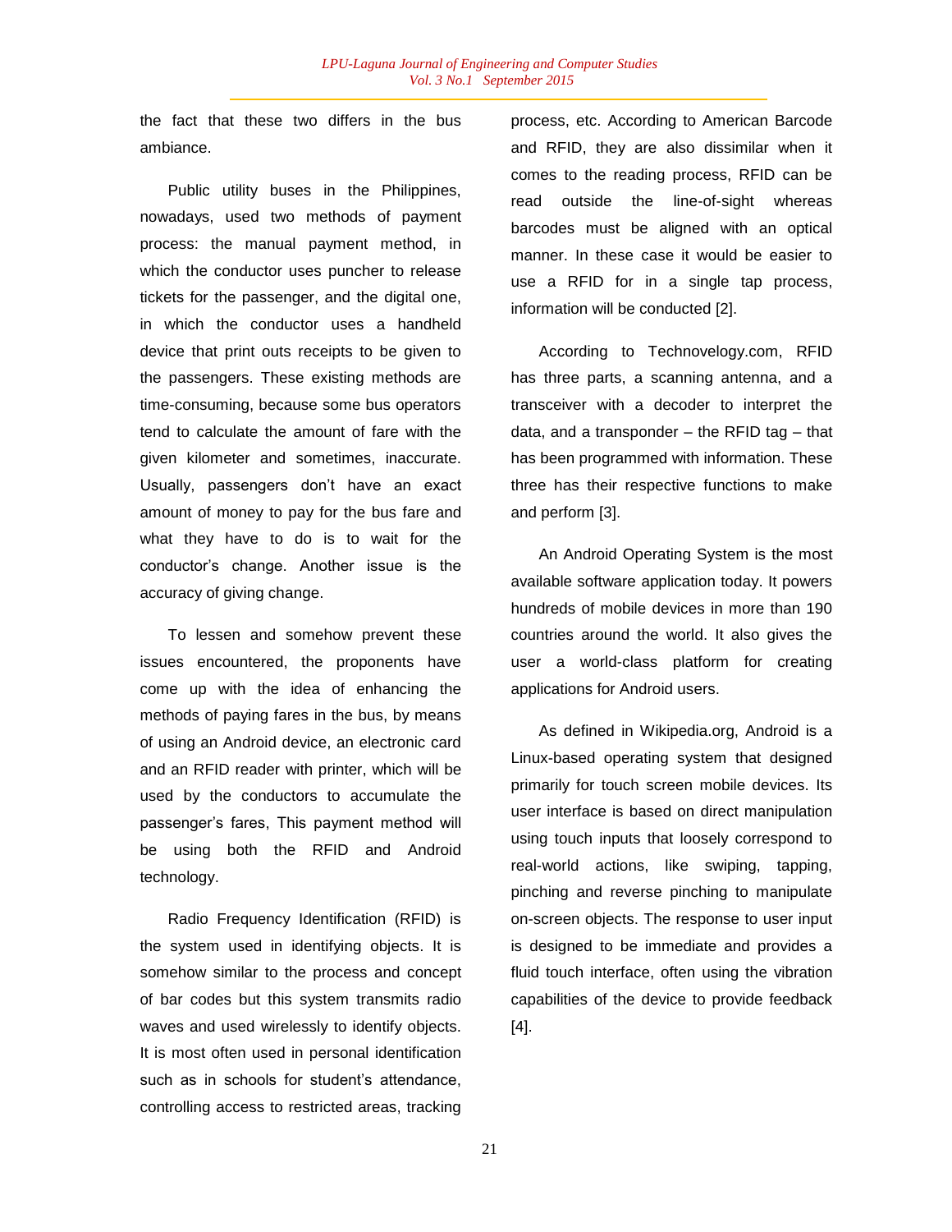the fact that these two differs in the bus ambiance.

Public utility buses in the Philippines, nowadays, used two methods of payment process: the manual payment method, in which the conductor uses puncher to release tickets for the passenger, and the digital one, in which the conductor uses a handheld device that print outs receipts to be given to the passengers. These existing methods are time-consuming, because some bus operators tend to calculate the amount of fare with the given kilometer and sometimes, inaccurate. Usually, passengers don"t have an exact amount of money to pay for the bus fare and what they have to do is to wait for the conductor"s change. Another issue is the accuracy of giving change.

To lessen and somehow prevent these issues encountered, the proponents have come up with the idea of enhancing the methods of paying fares in the bus, by means of using an Android device, an electronic card and an RFID reader with printer, which will be used by the conductors to accumulate the passenger"s fares, This payment method will be using both the RFID and Android technology.

Radio Frequency Identification (RFID) is the system used in identifying objects. It is somehow similar to the process and concept of bar codes but this system transmits radio waves and used wirelessly to identify objects. It is most often used in personal identification such as in schools for student's attendance, controlling access to restricted areas, tracking process, etc. According to American Barcode and RFID, they are also dissimilar when it comes to the reading process, RFID can be read outside the line-of-sight whereas barcodes must be aligned with an optical manner. In these case it would be easier to use a RFID for in a single tap process, information will be conducted [2].

According to Technovelogy.com, RFID has three parts, a scanning antenna, and a transceiver with a decoder to interpret the data, and a transponder – the RFID tag – that has been programmed with information. These three has their respective functions to make and perform [3].

An Android Operating System is the most available software application today. It powers hundreds of mobile devices in more than 190 countries around the world. It also gives the user a world-class platform for creating applications for Android users.

As defined in Wikipedia.org, Android is a Linux-based operating system that designed primarily for touch screen mobile devices. Its user interface is based on direct manipulation using touch inputs that loosely correspond to real-world actions, like swiping, tapping, pinching and reverse pinching to manipulate on-screen objects. The response to user input is designed to be immediate and provides a fluid touch interface, often using the vibration capabilities of the device to provide feedback [4].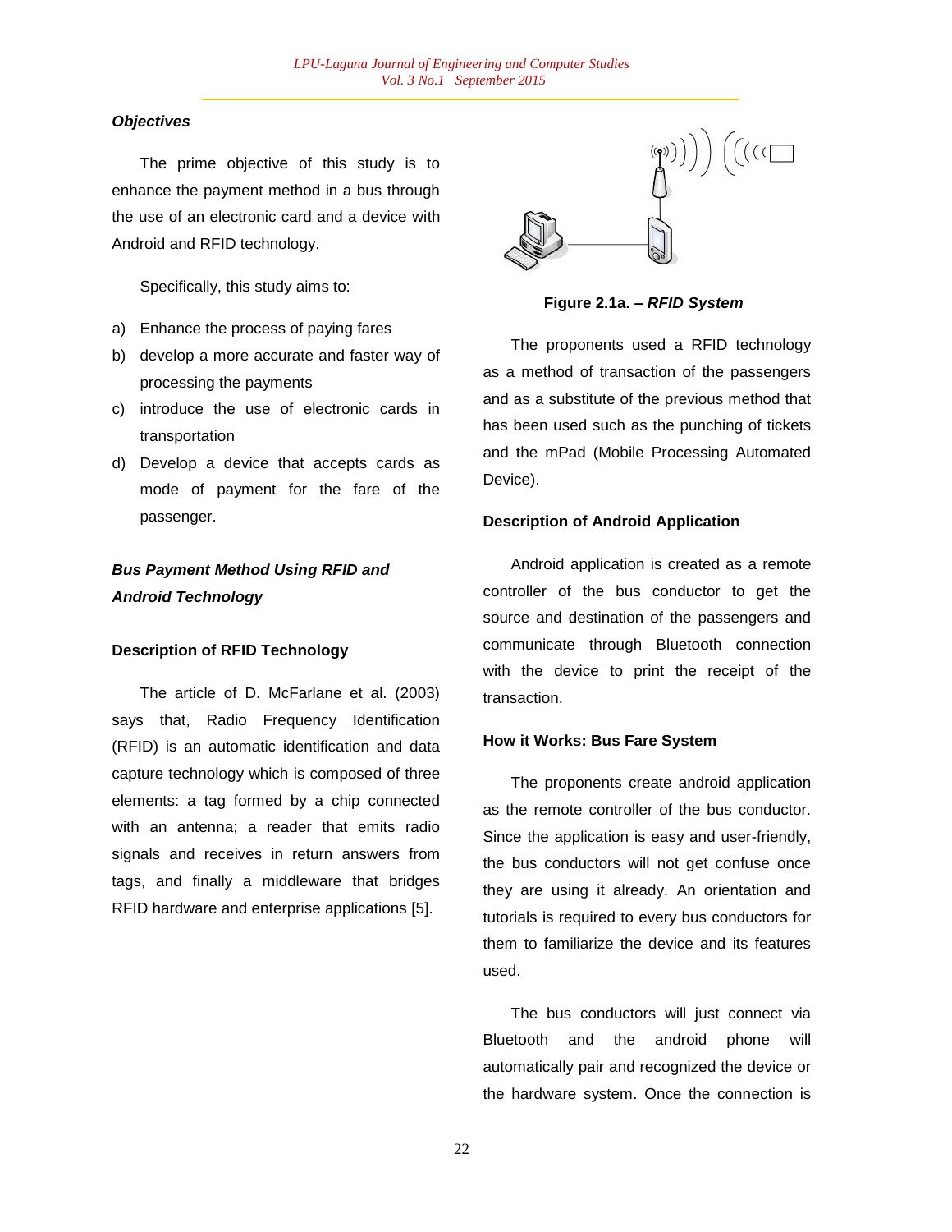## *Objectives*

The prime objective of this study is to enhance the payment method in a bus through the use of an electronic card and a device with Android and RFID technology.

Specifically, this study aims to:

- a) Enhance the process of paying fares
- b) develop a more accurate and faster way of processing the payments
- c) introduce the use of electronic cards in transportation
- d) Develop a device that accepts cards as mode of payment for the fare of the passenger.

## *Bus Payment Method Using RFID and Android Technology*

### **Description of RFID Technology**

The article of D. McFarlane et al. (2003) says that, Radio Frequency Identification (RFID) is an automatic identification and data capture technology which is composed of three elements: a tag formed by a chip connected with an antenna; a reader that emits radio signals and receives in return answers from tags, and finally a middleware that bridges RFID hardware and enterprise applications [5].



**Figure 2.1a. –** *RFID System*

The proponents used a RFID technology as a method of transaction of the passengers and as a substitute of the previous method that has been used such as the punching of tickets and the mPad (Mobile Processing Automated Device).

## **Description of Android Application**

Android application is created as a remote controller of the bus conductor to get the source and destination of the passengers and communicate through Bluetooth connection with the device to print the receipt of the transaction.

### **How it Works: Bus Fare System**

The proponents create android application as the remote controller of the bus conductor. Since the application is easy and user-friendly, the bus conductors will not get confuse once they are using it already. An orientation and tutorials is required to every bus conductors for them to familiarize the device and its features used.

The bus conductors will just connect via Bluetooth and the android phone will automatically pair and recognized the device or the hardware system. Once the connection is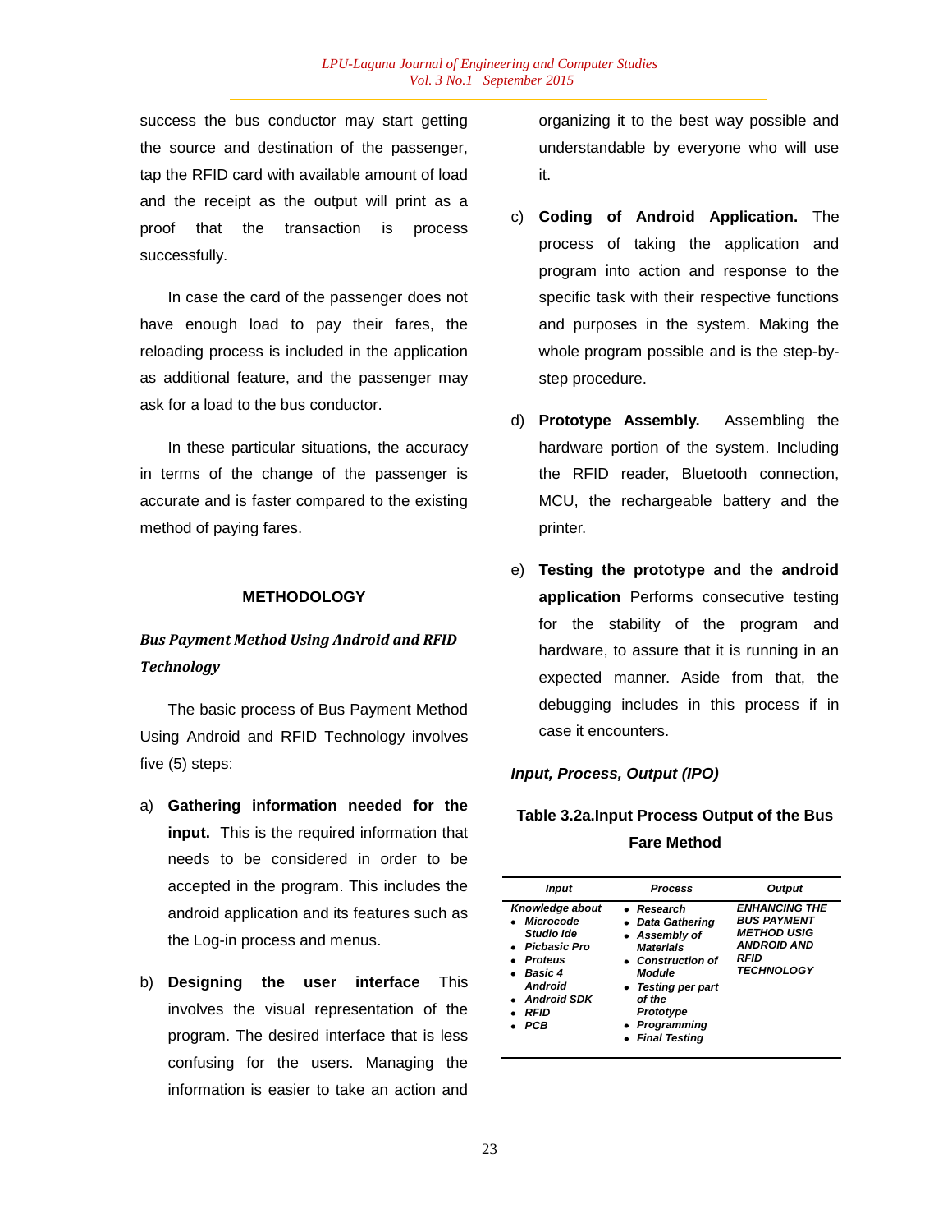success the bus conductor may start getting the source and destination of the passenger, tap the RFID card with available amount of load and the receipt as the output will print as a proof that the transaction is process successfully.

In case the card of the passenger does not have enough load to pay their fares, the reloading process is included in the application as additional feature, and the passenger may ask for a load to the bus conductor.

In these particular situations, the accuracy in terms of the change of the passenger is accurate and is faster compared to the existing method of paying fares.

## **METHODOLOGY**

## *Bus Payment Method Using Android and RFID Technology*

The basic process of Bus Payment Method Using Android and RFID Technology involves five (5) steps:

- a) **Gathering information needed for the input.** This is the required information that needs to be considered in order to be accepted in the program. This includes the android application and its features such as the Log-in process and menus.
- b) **Designing the user interface** This involves the visual representation of the program. The desired interface that is less confusing for the users. Managing the information is easier to take an action and

organizing it to the best way possible and understandable by everyone who will use it.

- c) **Coding of Android Application.** The process of taking the application and program into action and response to the specific task with their respective functions and purposes in the system. Making the whole program possible and is the step-bystep procedure.
- d) **Prototype Assembly.** Assembling the hardware portion of the system. Including the RFID reader, Bluetooth connection, MCU, the rechargeable battery and the printer.
- e) **Testing the prototype and the android application** Performs consecutive testing for the stability of the program and hardware, to assure that it is running in an expected manner. Aside from that, the debugging includes in this process if in case it encounters.

## *Input, Process, Output (IPO)*

## **Table 3.2a.Input Process Output of the Bus Fare Method**

| Input                                                                                                                                              | <b>Process</b>                                                                                                                                                                                              | <b>Output</b>                                                                                                       |  |  |
|----------------------------------------------------------------------------------------------------------------------------------------------------|-------------------------------------------------------------------------------------------------------------------------------------------------------------------------------------------------------------|---------------------------------------------------------------------------------------------------------------------|--|--|
| Knowledge about<br>• Microcode<br>Studio Ide<br>• Picbasic Pro<br>• Proteus<br>$\bullet$ Basic 4<br><b>Android</b><br>• Android SDK<br>RFID<br>PCB | $\bullet$ Research<br>• Data Gathering<br>• Assembly of<br><b>Materials</b><br>• Construction of<br>Module<br>• Testing per part<br>of the<br>Prototype<br>Programming<br>$\bullet$<br><b>Final Testing</b> | <b>ENHANCING THE</b><br><b>BUS PAYMENT</b><br><b>METHOD USIG</b><br><b>ANDROID AND</b><br>RFID<br><b>TECHNOLOGY</b> |  |  |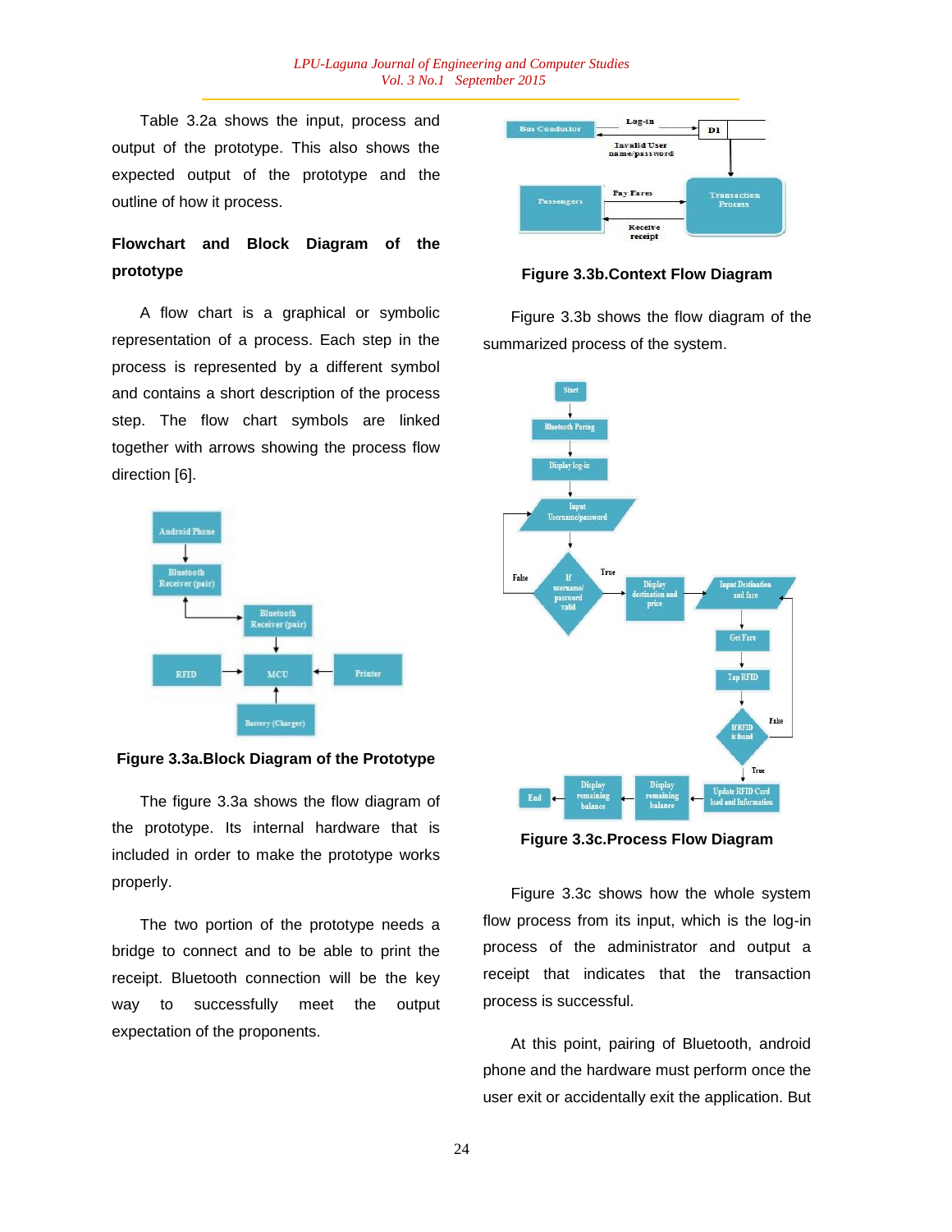Table 3.2a shows the input, process and output of the prototype. This also shows the expected output of the prototype and the outline of how it process.

# **Flowchart and Block Diagram of the prototype**

A flow chart is a graphical or symbolic representation of a process. Each step in the process is represented by a different symbol and contains a short description of the process step. The flow chart symbols are linked together with arrows showing the process flow direction [6].



#### **Figure 3.3a.Block Diagram of the Prototype**

The figure 3.3a shows the flow diagram of the prototype. Its internal hardware that is included in order to make the prototype works properly.

The two portion of the prototype needs a bridge to connect and to be able to print the receipt. Bluetooth connection will be the key way to successfully meet the output expectation of the proponents.



**Figure 3.3b.Context Flow Diagram**

Figure 3.3b shows the flow diagram of the summarized process of the system.



**Figure 3.3c.Process Flow Diagram**

Figure 3.3c shows how the whole system flow process from its input, which is the log-in process of the administrator and output a receipt that indicates that the transaction process is successful.

At this point, pairing of Bluetooth, android phone and the hardware must perform once the user exit or accidentally exit the application. But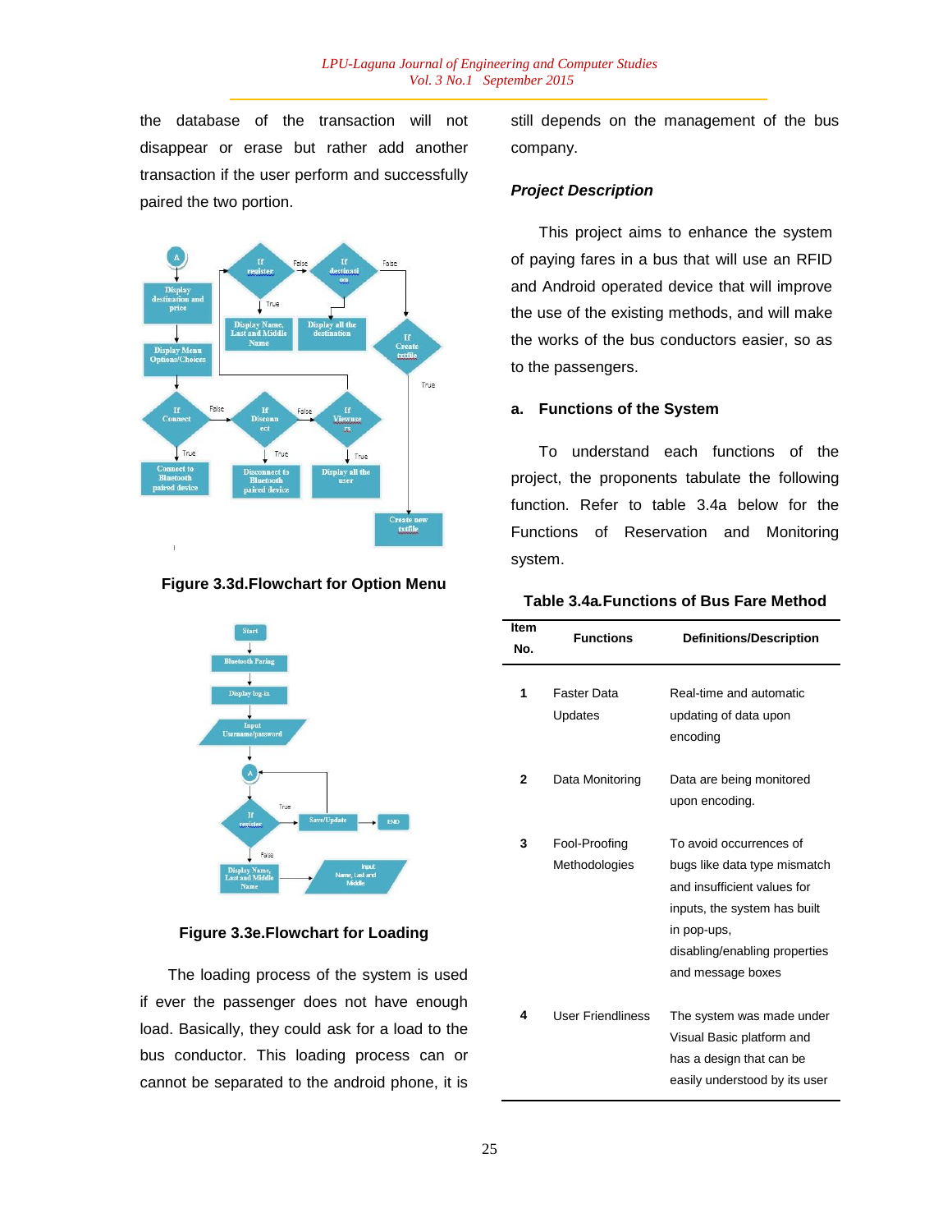the database of the transaction will not disappear or erase but rather add another transaction if the user perform and successfully paired the two portion.



**Figure 3.3d.Flowchart for Option Menu**



## **Figure 3.3e.Flowchart for Loading**

The loading process of the system is used if ever the passenger does not have enough load. Basically, they could ask for a load to the bus conductor. This loading process can or cannot be separated to the android phone, it is

still depends on the management of the bus company.

## *Project Description*

This project aims to enhance the system of paying fares in a bus that will use an RFID and Android operated device that will improve the use of the existing methods, and will make the works of the bus conductors easier, so as to the passengers.

### **a. Functions of the System**

To understand each functions of the project, the proponents tabulate the following function. Refer to table 3.4a below for the Functions of Reservation and Monitoring system.

### **Table 3.4a***.***Functions of Bus Fare Method**

| Item<br>No. | <b>Functions</b>               | <b>Definitions/Description</b>                                                                                                                                                              |  |  |
|-------------|--------------------------------|---------------------------------------------------------------------------------------------------------------------------------------------------------------------------------------------|--|--|
| 1           | Faster Data<br>Updates         | Real-time and automatic<br>updating of data upon<br>encoding                                                                                                                                |  |  |
| 2           | Data Monitoring                | Data are being monitored<br>upon encoding.                                                                                                                                                  |  |  |
| 3           | Fool-Proofing<br>Methodologies | To avoid occurrences of<br>bugs like data type mismatch<br>and insufficient values for<br>inputs, the system has built<br>in pop-ups,<br>disabling/enabling properties<br>and message boxes |  |  |
| 4           | <b>User Friendliness</b>       | The system was made under<br>Visual Basic platform and<br>has a design that can be<br>easily understood by its user                                                                         |  |  |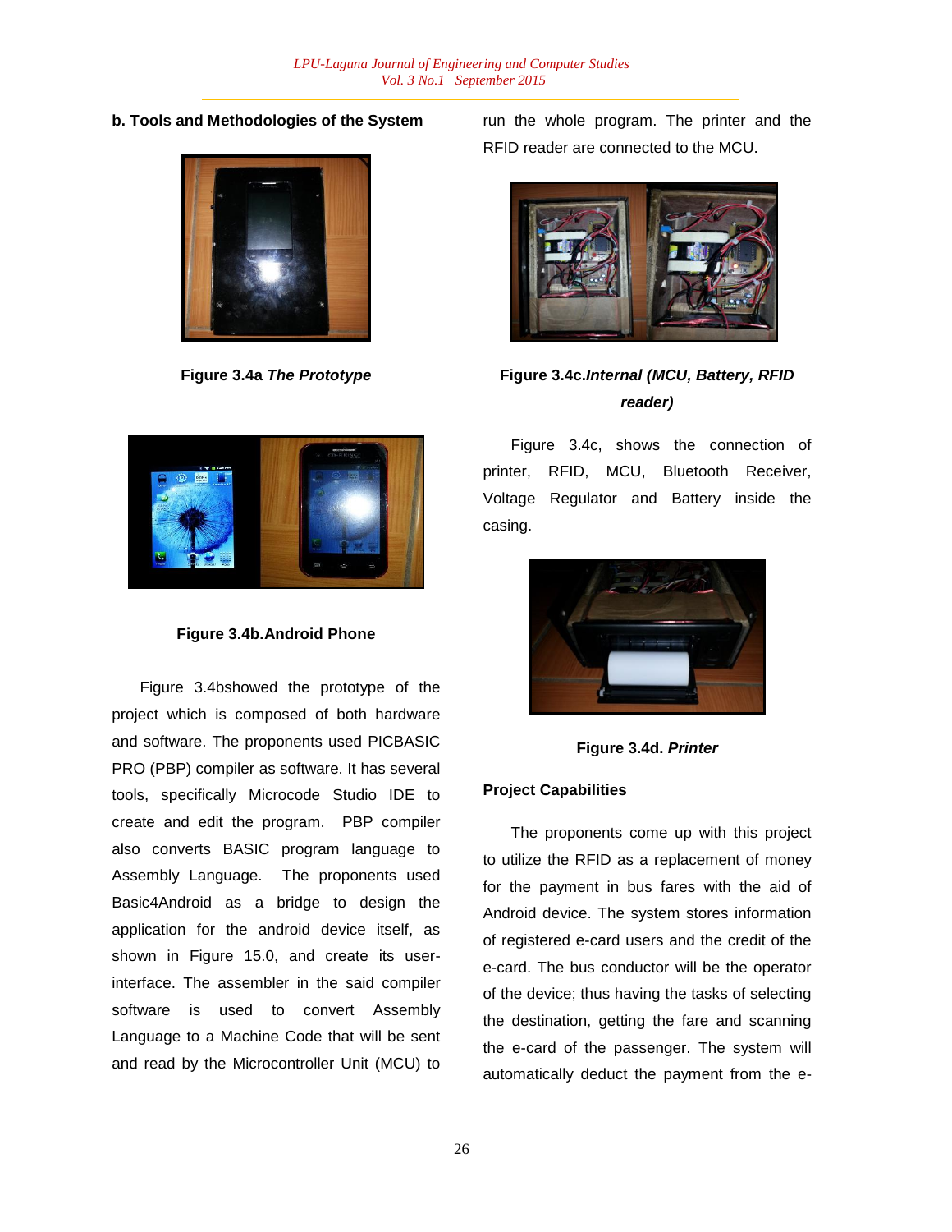**b. Tools and Methodologies of the System**



**Figure 3.4a** *The Prototype*



**Figure 3.4b.Android Phone**

Figure 3.4bshowed the prototype of the project which is composed of both hardware and software. The proponents used PICBASIC PRO (PBP) compiler as software. It has several tools, specifically Microcode Studio IDE to create and edit the program. PBP compiler also converts BASIC program language to Assembly Language. The proponents used Basic4Android as a bridge to design the application for the android device itself, as shown in Figure 15.0, and create its userinterface. The assembler in the said compiler software is used to convert Assembly Language to a Machine Code that will be sent and read by the Microcontroller Unit (MCU) to run the whole program. The printer and the RFID reader are connected to the MCU.



## **Figure 3.4c.***Internal (MCU, Battery, RFID reader)*

Figure 3.4c, shows the connection of printer, RFID, MCU, Bluetooth Receiver, Voltage Regulator and Battery inside the casing.



**Figure 3.4d.** *Printer*

## **Project Capabilities**

The proponents come up with this project to utilize the RFID as a replacement of money for the payment in bus fares with the aid of Android device. The system stores information of registered e-card users and the credit of the e-card. The bus conductor will be the operator of the device; thus having the tasks of selecting the destination, getting the fare and scanning the e-card of the passenger. The system will automatically deduct the payment from the e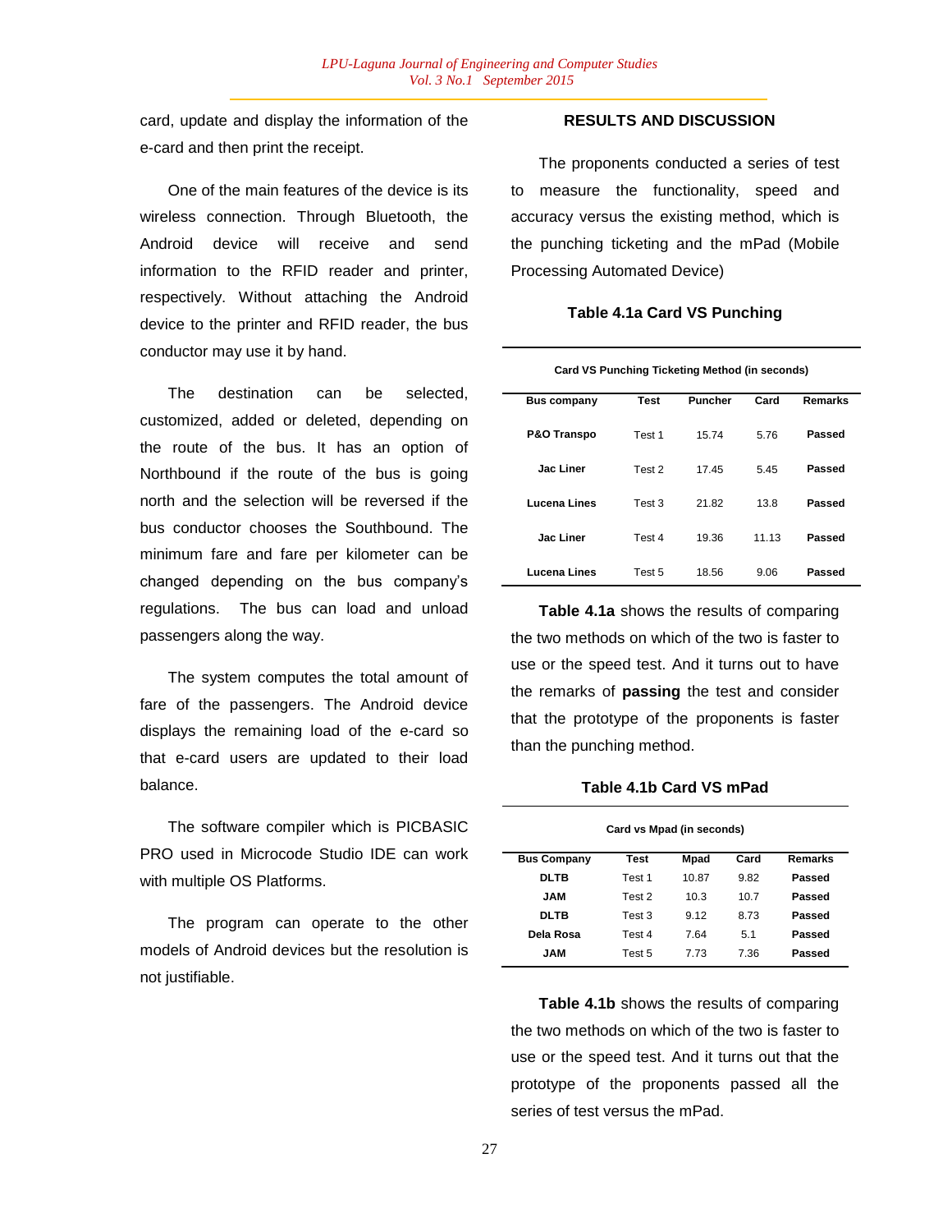card, update and display the information of the e-card and then print the receipt.

One of the main features of the device is its wireless connection. Through Bluetooth, the Android device will receive and send information to the RFID reader and printer, respectively. Without attaching the Android device to the printer and RFID reader, the bus conductor may use it by hand.

The destination can be selected, customized, added or deleted, depending on the route of the bus. It has an option of Northbound if the route of the bus is going north and the selection will be reversed if the bus conductor chooses the Southbound. The minimum fare and fare per kilometer can be changed depending on the bus company"s regulations. The bus can load and unload passengers along the way.

The system computes the total amount of fare of the passengers. The Android device displays the remaining load of the e-card so that e-card users are updated to their load balance.

The software compiler which is PICBASIC PRO used in Microcode Studio IDE can work with multiple OS Platforms.

The program can operate to the other models of Android devices but the resolution is not justifiable.

## **RESULTS AND DISCUSSION**

The proponents conducted a series of test to measure the functionality, speed and accuracy versus the existing method, which is the punching ticketing and the mPad (Mobile Processing Automated Device)

### **Table 4.1a Card VS Punching**

| Card VS Punching Ticketing Method (in seconds) |  |
|------------------------------------------------|--|
|------------------------------------------------|--|

| <b>Bus company</b>     | <b>Test</b> | Puncher | Card  | <b>Remarks</b> |
|------------------------|-------------|---------|-------|----------------|
| <b>P&amp;O Transpo</b> | Test 1      | 15.74   | 5.76  | Passed         |
| Jac Liner              | Test 2      | 17.45   | 5.45  | Passed         |
| Lucena Lines           | Test 3      | 21.82   | 13.8  | Passed         |
| <b>Jac Liner</b>       | Test 4      | 19.36   | 11.13 | Passed         |
| Lucena Lines           | Test 5      | 18.56   | 9.06  | Passed         |

**Table 4.1a** shows the results of comparing the two methods on which of the two is faster to use or the speed test. And it turns out to have the remarks of **passing** the test and consider that the prototype of the proponents is faster than the punching method.

#### **Table 4.1b Card VS mPad**

| Card vs Mpad (in seconds) |        |       |      |                |  |
|---------------------------|--------|-------|------|----------------|--|
| <b>Bus Company</b>        | Test   | Mpad  | Card | <b>Remarks</b> |  |
| DLTB                      | Test 1 | 10.87 | 9.82 | Passed         |  |
| JAM                       | Test 2 | 10.3  | 10.7 | Passed         |  |
| DLTB                      | Test 3 | 9.12  | 8.73 | Passed         |  |
| Dela Rosa                 | Test 4 | 7.64  | 5.1  | Passed         |  |
| JAM                       | Test 5 | 7 73  | 7.36 | Passed         |  |

**Table 4.1b** shows the results of comparing the two methods on which of the two is faster to use or the speed test. And it turns out that the prototype of the proponents passed all the series of test versus the mPad.